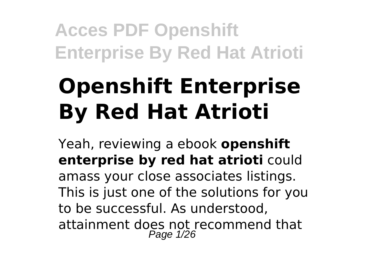# **Openshift Enterprise By Red Hat Atrioti**

Yeah, reviewing a ebook **openshift enterprise by red hat atrioti** could amass your close associates listings. This is just one of the solutions for you to be successful. As understood, attainment does not recommend that Page 1/26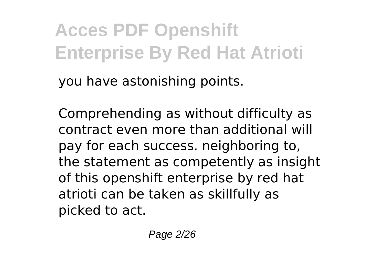you have astonishing points.

Comprehending as without difficulty as contract even more than additional will pay for each success. neighboring to, the statement as competently as insight of this openshift enterprise by red hat atrioti can be taken as skillfully as picked to act.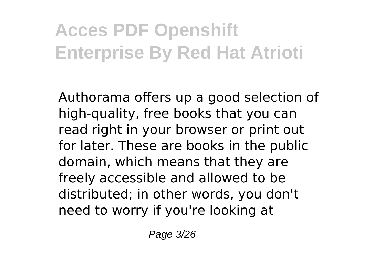Authorama offers up a good selection of high-quality, free books that you can read right in your browser or print out for later. These are books in the public domain, which means that they are freely accessible and allowed to be distributed; in other words, you don't need to worry if you're looking at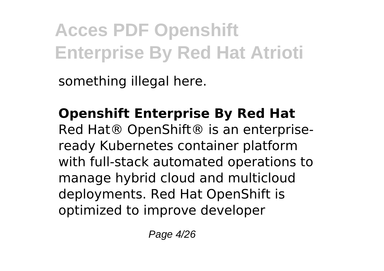something illegal here.

**Openshift Enterprise By Red Hat** Red Hat<sup>®</sup> OpenShift<sup>®</sup> is an enterpriseready Kubernetes container platform with full-stack automated operations to manage hybrid cloud and multicloud deployments. Red Hat OpenShift is optimized to improve developer

Page 4/26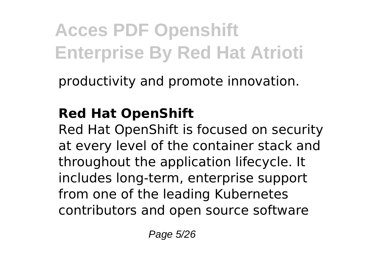productivity and promote innovation.

### **Red Hat OpenShift**

Red Hat OpenShift is focused on security at every level of the container stack and throughout the application lifecycle. It includes long-term, enterprise support from one of the leading Kubernetes contributors and open source software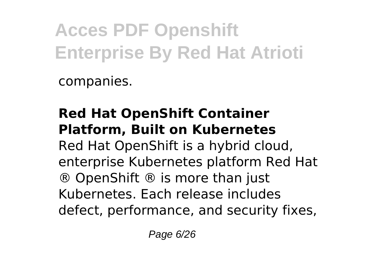companies.

### **Red Hat OpenShift Container Platform, Built on Kubernetes**

Red Hat OpenShift is a hybrid cloud, enterprise Kubernetes platform Red Hat ® OpenShift ® is more than just Kubernetes. Each release includes defect, performance, and security fixes,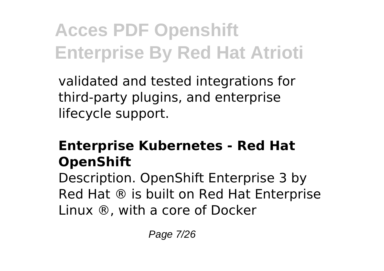validated and tested integrations for third-party plugins, and enterprise lifecycle support.

### **Enterprise Kubernetes - Red Hat OpenShift**

Description. OpenShift Enterprise 3 by Red Hat ® is built on Red Hat Enterprise Linux ®, with a core of Docker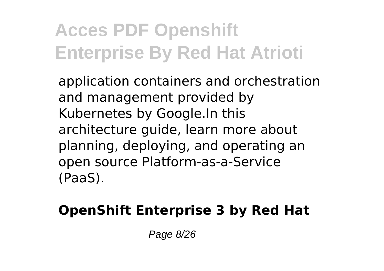application containers and orchestration and management provided by Kubernetes by Google.In this architecture guide, learn more about planning, deploying, and operating an open source Platform-as-a-Service (PaaS).

### **OpenShift Enterprise 3 by Red Hat**

Page 8/26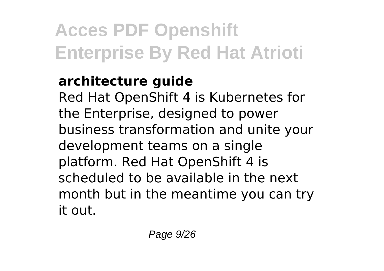### **architecture guide**

Red Hat OpenShift 4 is Kubernetes for the Enterprise, designed to power business transformation and unite your development teams on a single platform. Red Hat OpenShift 4 is scheduled to be available in the next month but in the meantime you can try it out.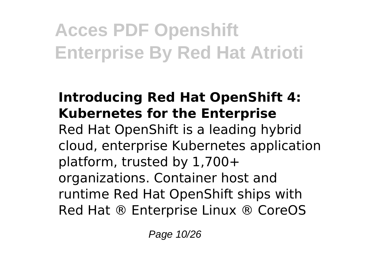#### **Introducing Red Hat OpenShift 4: Kubernetes for the Enterprise** Red Hat OpenShift is a leading hybrid cloud, enterprise Kubernetes application platform, trusted by 1,700+ organizations. Container host and runtime Red Hat OpenShift ships with Red Hat ® Enterprise Linux ® CoreOS

Page 10/26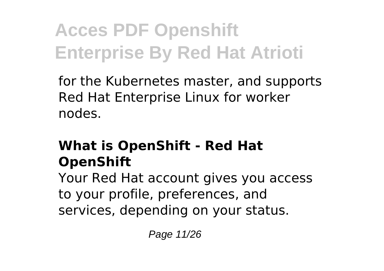for the Kubernetes master, and supports Red Hat Enterprise Linux for worker nodes.

### **What is OpenShift - Red Hat OpenShift**

Your Red Hat account gives you access to your profile, preferences, and services, depending on your status.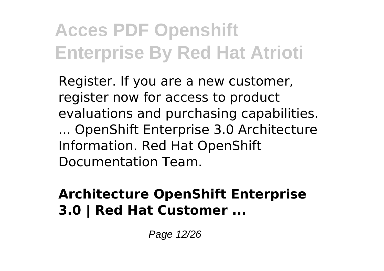Register. If you are a new customer, register now for access to product evaluations and purchasing capabilities. ... OpenShift Enterprise 3.0 Architecture Information. Red Hat OpenShift Documentation Team.

### **Architecture OpenShift Enterprise 3.0 | Red Hat Customer ...**

Page 12/26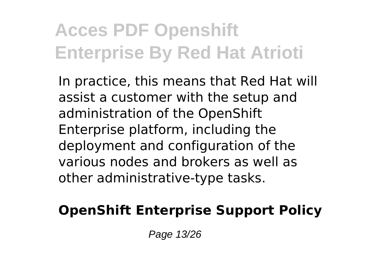In practice, this means that Red Hat will assist a customer with the setup and administration of the OpenShift Enterprise platform, including the deployment and configuration of the various nodes and brokers as well as other administrative-type tasks.

### **OpenShift Enterprise Support Policy**

Page 13/26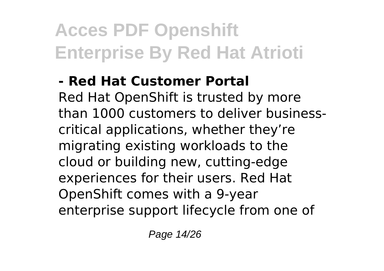### **- Red Hat Customer Portal**

Red Hat OpenShift is trusted by more than 1000 customers to deliver businesscritical applications, whether they're migrating existing workloads to the cloud or building new, cutting-edge experiences for their users. Red Hat OpenShift comes with a 9-year enterprise support lifecycle from one of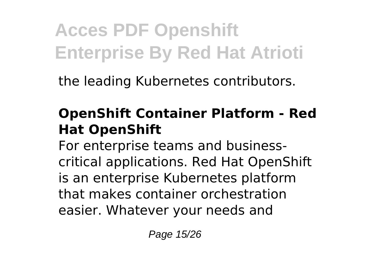the leading Kubernetes contributors.

### **OpenShift Container Platform - Red Hat OpenShift**

For enterprise teams and businesscritical applications. Red Hat OpenShift is an enterprise Kubernetes platform that makes container orchestration easier. Whatever your needs and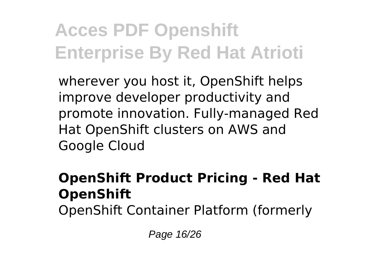wherever you host it, OpenShift helps improve developer productivity and promote innovation. Fully-managed Red Hat OpenShift clusters on AWS and Google Cloud

### **OpenShift Product Pricing - Red Hat OpenShift**

OpenShift Container Platform (formerly

Page 16/26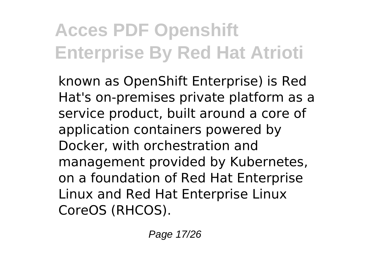known as OpenShift Enterprise) is Red Hat's on-premises private platform as a service product, built around a core of application containers powered by Docker, with orchestration and management provided by Kubernetes, on a foundation of Red Hat Enterprise Linux and Red Hat Enterprise Linux CoreOS (RHCOS).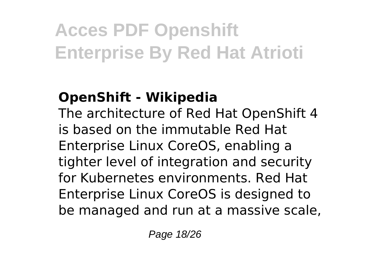### **OpenShift - Wikipedia**

The architecture of Red Hat OpenShift 4 is based on the immutable Red Hat Enterprise Linux CoreOS, enabling a tighter level of integration and security for Kubernetes environments. Red Hat Enterprise Linux CoreOS is designed to be managed and run at a massive scale,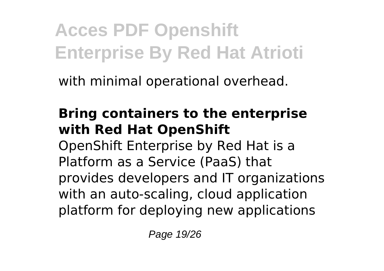with minimal operational overhead.

### **Bring containers to the enterprise with Red Hat OpenShift**

OpenShift Enterprise by Red Hat is a Platform as a Service (PaaS) that provides developers and IT organizations with an auto-scaling, cloud application platform for deploying new applications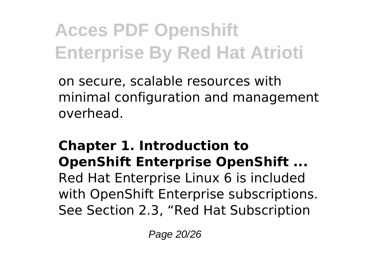on secure, scalable resources with minimal configuration and management overhead.

#### **Chapter 1. Introduction to OpenShift Enterprise OpenShift ...**

Red Hat Enterprise Linux 6 is included with OpenShift Enterprise subscriptions. See Section 2.3, "Red Hat Subscription

Page 20/26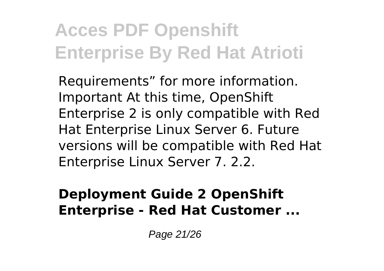Requirements" for more information. Important At this time, OpenShift Enterprise 2 is only compatible with Red Hat Enterprise Linux Server 6. Future versions will be compatible with Red Hat Enterprise Linux Server 7. 2.2.

#### **Deployment Guide 2 OpenShift Enterprise - Red Hat Customer ...**

Page 21/26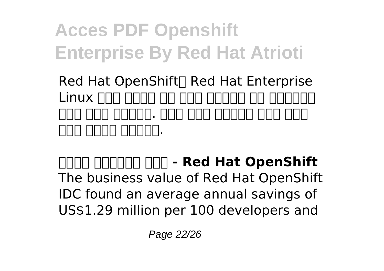Red Hat OpenShift<sup>[]</sup> Red Hat Enterprise Linux በበበ በበበበ በበ በበበ በበበበበ በበ በበበበበበ 점에서 두각을 나타냅니다. 지원이 필요한 고객에게는 전문가 교육과 컨설팅 서비스도 제공합니다.

**컨테이너 애플리케이션 플랫폼 - Red Hat OpenShift** The business value of Red Hat OpenShift IDC found an average annual savings of US\$1.29 million per 100 developers and

Page 22/26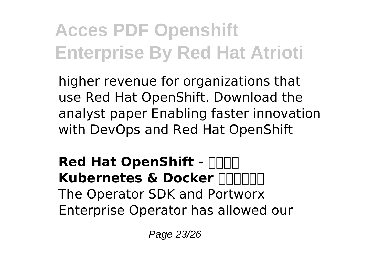higher revenue for organizations that use Red Hat OpenShift. Download the analyst paper Enabling faster innovation with DevOps and Red Hat OpenShift

**Red Hat OpenShift - NNN Kubernetes & Docker 777777** The Operator SDK and Portworx Enterprise Operator has allowed our

Page 23/26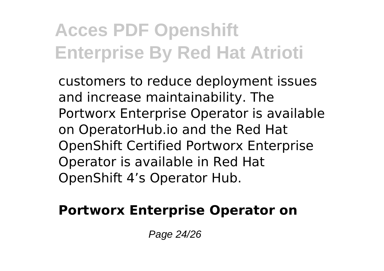customers to reduce deployment issues and increase maintainability. The Portworx Enterprise Operator is available on OperatorHub.io and the Red Hat OpenShift Certified Portworx Enterprise Operator is available in Red Hat OpenShift 4's Operator Hub.

#### **Portworx Enterprise Operator on**

Page 24/26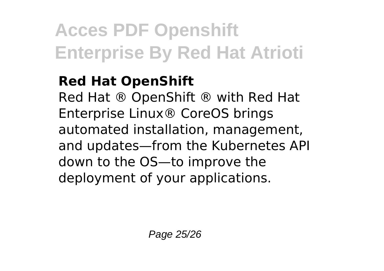#### **Red Hat OpenShift**

Red Hat ® OpenShift ® with Red Hat Enterprise Linux® CoreOS brings automated installation, management, and updates—from the Kubernetes API down to the OS—to improve the deployment of your applications.